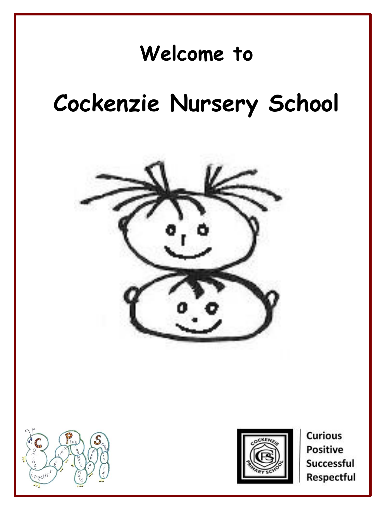### **Welcome to**

## **Cockenzie Nursery School**







**Curious Positive** Successful Respectful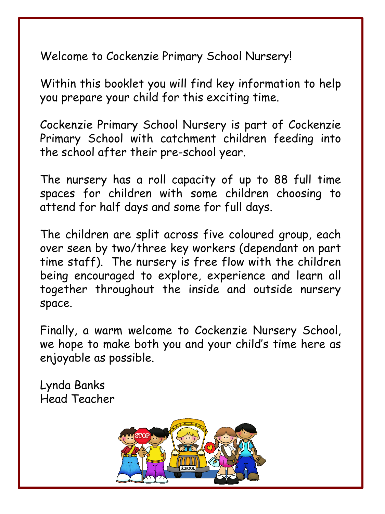Welcome to Cockenzie Primary School Nursery!

Within this booklet you will find key information to help you prepare your child for this exciting time.

Cockenzie Primary School Nursery is part of Cockenzie Primary School with catchment children feeding into the school after their pre-school year.

The nursery has a roll capacity of up to 88 full time spaces for children with some children choosing to attend for half days and some for full days.

The children are split across five coloured group, each over seen by two/three key workers (dependant on part time staff). The nursery is free flow with the children being encouraged to explore, experience and learn all together throughout the inside and outside nursery space.

Finally, a warm welcome to Cockenzie Nursery School, we hope to make both you and your child's time here as enjoyable as possible.

Lynda Banks Head Teacher

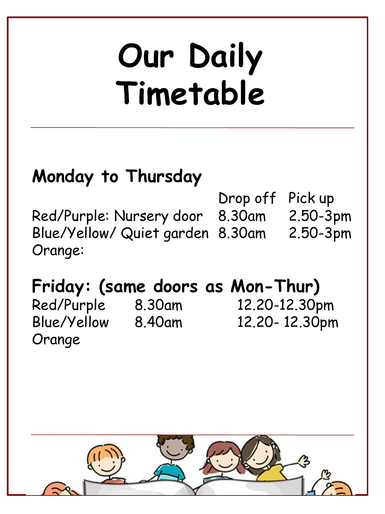# **Our Daily Timetable**

### **Monday to Thursday**

Drop off Pick up Red/Purple: Nursery door 8.30am 2.50-3pm Blue/Yellow/ Quiet garden 8.30am 2.50-3pm Orange:

### **Friday: (same doors as Mon-Thur)**

Orange

Red/Purple 8.30am 12.20-12.30pm Blue/Yellow 8.40am 12.20- 12.30pm

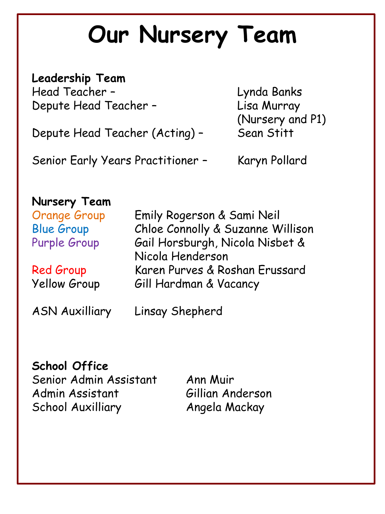# **Our Nursery Team**

**Leadership Team** Head Teacher – Lynda Banks Depute Head Teacher – Lisa Murray

Depute Head Teacher (Acting) - Sean Stitt

Senior Early Years Practitioner - Karyn Pollard

(Nursery and P1)

#### **Nursery Team**

Orange Group Emily Rogerson & Sami Neil Blue Group Chloe Connolly & Suzanne Willison Purple Group Gail Horsburgh, Nicola Nisbet & Nicola Henderson Red Group Karen Purves & Roshan Erussard Yellow Group Gill Hardman & Vacancy

ASN Auxilliary Linsay Shepherd

#### **School Office**

Senior Admin Assistant Ann Muir Admin Assistant Gillian Anderson School Auxilliary Angela Mackay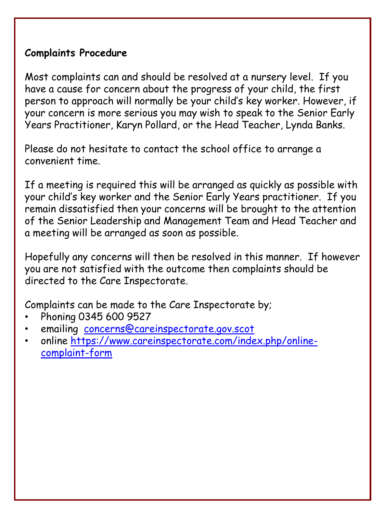#### **Complaints Procedure**

Most complaints can and should be resolved at a nursery level. If you have a cause for concern about the progress of your child, the first person to approach will normally be your child's key worker. However, if your concern is more serious you may wish to speak to the Senior Early Years Practitioner, Karyn Pollard, or the Head Teacher, Lynda Banks.

Please do not hesitate to contact the school office to arrange a convenient time.

If a meeting is required this will be arranged as quickly as possible with your child's key worker and the Senior Early Years practitioner. If you remain dissatisfied then your concerns will be brought to the attention of the Senior Leadership and Management Team and Head Teacher and a meeting will be arranged as soon as possible.

Hopefully any concerns will then be resolved in this manner. If however you are not satisfied with the outcome then complaints should be directed to the Care Inspectorate.

Complaints can be made to the Care Inspectorate by;

- Phoning 0345 600 9527
- emailing [concerns@careinspectorate.gov.scot](mailto:concerns@careinspectorate.gov.scot)
- [online https://www.careinspectorate.com/index.php/online](https://www.careinspectorate.com/index.php/online-complaint-form)complaint-form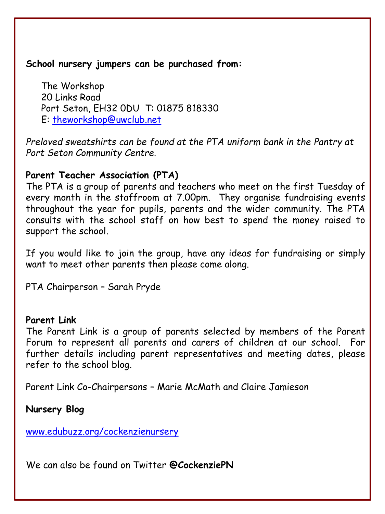**School nursery jumpers can be purchased from:**

The Workshop 20 Links Road Port Seton, EH32 0DU T: 01875 818330 E: [theworkshop@uwclub.net](mailto:theworkshop@uwclub.net)

*Preloved sweatshirts can be found at the PTA uniform bank in the Pantry at Port Seton Community Centre.*

#### **Parent Teacher Association (PTA)**

The PTA is a group of parents and teachers who meet on the first Tuesday of every month in the staffroom at 7.00pm. They organise fundraising events throughout the year for pupils, parents and the wider community. The PTA consults with the school staff on how best to spend the money raised to support the school.

If you would like to join the group, have any ideas for fundraising or simply want to meet other parents then please come along.

PTA Chairperson – Sarah Pryde

#### **Parent Link**

The Parent Link is a group of parents selected by members of the Parent Forum to represent all parents and carers of children at our school. For further details including parent representatives and meeting dates, please refer to the school blog.

Parent Link Co-Chairpersons – Marie McMath and Claire Jamieson

**Nursery Blog** 

[www.edubuzz.org/cockenzienursery](http://www.edubuzz.org/cockenzienursery)

We can also be found on Twitter **@CockenziePN**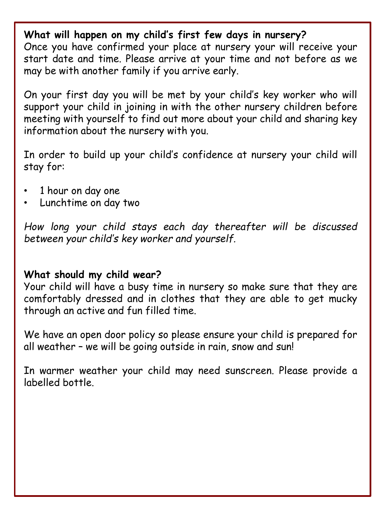**What will happen on my child's first few days in nursery?** Once you have confirmed your place at nursery your will receive your start date and time. Please arrive at your time and not before as we may be with another family if you arrive early.

On your first day you will be met by your child's key worker who will support your child in joining in with the other nursery children before meeting with yourself to find out more about your child and sharing key information about the nursery with you.

In order to build up your child's confidence at nursery your child will stay for:

- 1 hour on day one
- Lunchtime on day two

*How long your child stays each day thereafter will be discussed between your child's key worker and yourself.*

#### **What should my child wear?**

Your child will have a busy time in nursery so make sure that they are comfortably dressed and in clothes that they are able to get mucky through an active and fun filled time.

We have an open door policy so please ensure your child is prepared for all weather – we will be going outside in rain, snow and sun!

In warmer weather your child may need sunscreen. Please provide a labelled bottle.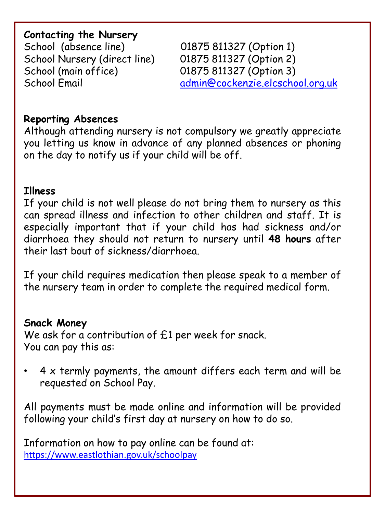#### **Contacting the Nursery**

School (absence line) 01875 811327 (Option 1) School Nursery (direct line) 01875 811327 (Option 2) School (main office) 01875 811327 (Option 3)

School Email [admin@cockenzie.elcschool.org.uk](mailto:admin@cockenzie.elcschool.org.uk)

#### **Reporting Absences**

Although attending nursery is not compulsory we greatly appreciate you letting us know in advance of any planned absences or phoning on the day to notify us if your child will be off.

#### **Illness**

If your child is not well please do not bring them to nursery as this can spread illness and infection to other children and staff. It is especially important that if your child has had sickness and/or diarrhoea they should not return to nursery until **48 hours** after their last bout of sickness/diarrhoea.

If your child requires medication then please speak to a member of the nursery team in order to complete the required medical form.

#### **Snack Money**

We ask for a contribution of £1 per week for snack. You can pay this as:

 $4 \times$  termly payments, the amount differs each term and will be requested on School Pay.

All payments must be made online and information will be provided following your child's first day at nursery on how to do so.

Information on how to pay online can be found at: <https://www.eastlothian.gov.uk/schoolpay>